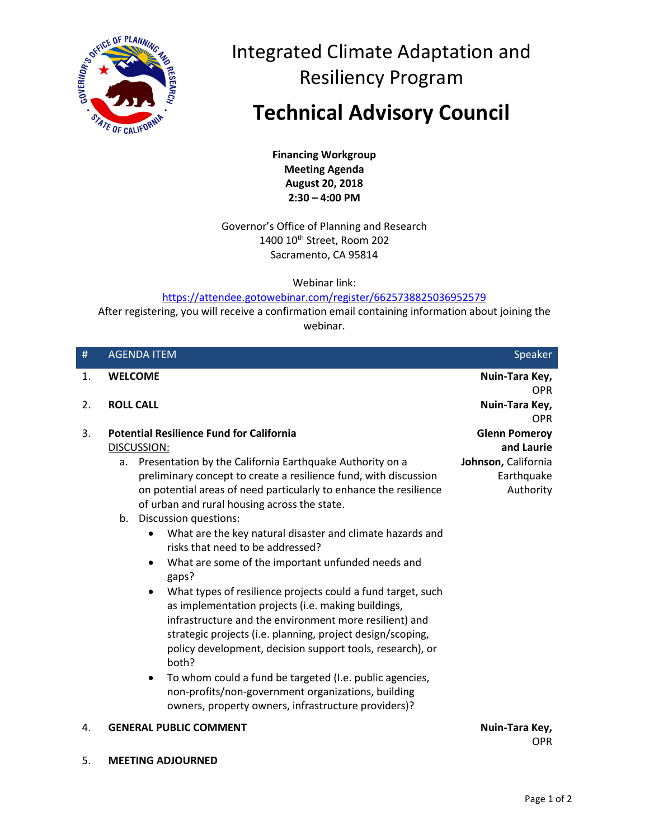

Integrated Climate Adaptation and Resiliency Program

**Technical Advisory Council** 

**Financing Workgroup Meeting Agenda August 20, 2018 2:30 – 4:00 PM** 

Governor's Office of Planning and Research 1400 10<sup>th</sup> Street, Room 202 Sacramento, CA 95814

Webinar link:

<https://attendee.gotowebinar.com/register/6625738825036952579>

After registering, you will receive a confirmation email containing information about joining the webinar.

| #  | <b>AGENDA ITEM</b>                                                                                                                                                                                                                                                                                                                                                                                                                                                                                                                                                                                                                                                                                                                                                                                                                                                                                                                                                            | Speaker                                                                              |
|----|-------------------------------------------------------------------------------------------------------------------------------------------------------------------------------------------------------------------------------------------------------------------------------------------------------------------------------------------------------------------------------------------------------------------------------------------------------------------------------------------------------------------------------------------------------------------------------------------------------------------------------------------------------------------------------------------------------------------------------------------------------------------------------------------------------------------------------------------------------------------------------------------------------------------------------------------------------------------------------|--------------------------------------------------------------------------------------|
| 1. | <b>WELCOME</b>                                                                                                                                                                                                                                                                                                                                                                                                                                                                                                                                                                                                                                                                                                                                                                                                                                                                                                                                                                | Nuin-Tara Key,<br><b>OPR</b>                                                         |
| 2. | <b>ROLL CALL</b>                                                                                                                                                                                                                                                                                                                                                                                                                                                                                                                                                                                                                                                                                                                                                                                                                                                                                                                                                              | Nuin-Tara Key,<br><b>OPR</b>                                                         |
| 3. | <b>Potential Resilience Fund for California</b><br>DISCUSSION:<br>Presentation by the California Earthquake Authority on a<br>$a_{-}$<br>preliminary concept to create a resilience fund, with discussion<br>on potential areas of need particularly to enhance the resilience<br>of urban and rural housing across the state.<br>Discussion questions:<br>b.<br>What are the key natural disaster and climate hazards and<br>risks that need to be addressed?<br>What are some of the important unfunded needs and<br>$\bullet$<br>gaps?<br>What types of resilience projects could a fund target, such<br>as implementation projects (i.e. making buildings,<br>infrastructure and the environment more resilient) and<br>strategic projects (i.e. planning, project design/scoping,<br>policy development, decision support tools, research), or<br>both?<br>To whom could a fund be targeted (I.e. public agencies,<br>non-profits/non-government organizations, building | <b>Glenn Pomeroy</b><br>and Laurie<br>Johnson, California<br>Earthquake<br>Authority |
| 4. | owners, property owners, infrastructure providers)?<br><b>GENERAL PUBLIC COMMENT</b>                                                                                                                                                                                                                                                                                                                                                                                                                                                                                                                                                                                                                                                                                                                                                                                                                                                                                          | Nuin-Tara Key,<br>OPR                                                                |

5. **MEETING ADJOURNED**